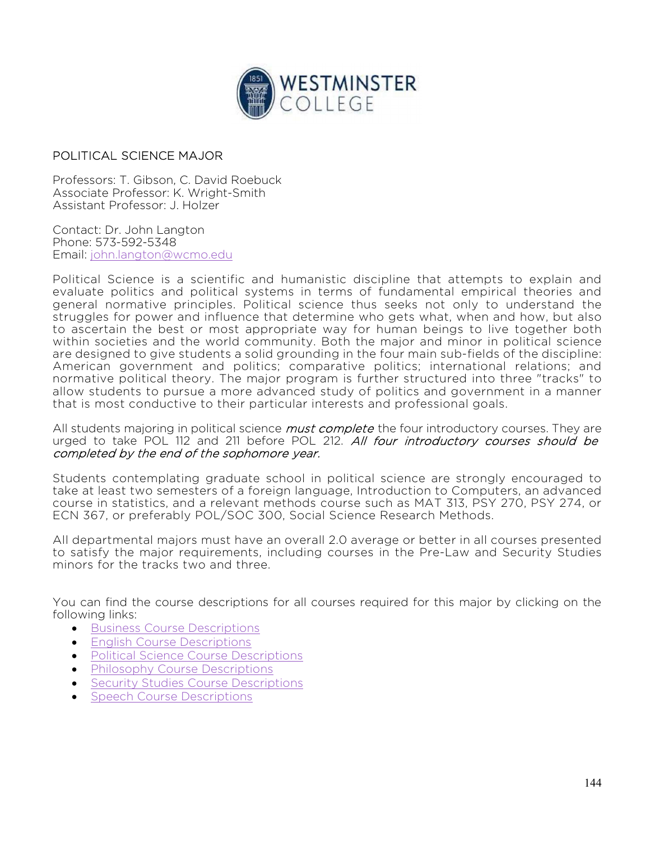

## POLITICAL SCIENCE MAJOR

Professors: T. Gibson, C. David Roebuck Associate Professor: K. Wright-Smith Assistant Professor: J. Holzer

Contact: Dr. John Langton Phone: 573-592-5348 Email: john.langton@wcmo.edu

Political Science is a scientific and humanistic discipline that attempts to explain and evaluate politics and political systems in terms of fundamental empirical theories and general normative principles. Political science thus seeks not only to understand the struggles for power and influence that determine who gets what, when and how, but also to ascertain the best or most appropriate way for human beings to live together both within societies and the world community. Both the major and minor in political science are designed to give students a solid grounding in the four main sub-fields of the discipline: American government and politics; comparative politics; international relations; and normative political theory. The major program is further structured into three "tracks" to allow students to pursue a more advanced study of politics and government in a manner that is most conductive to their particular interests and professional goals.

All students majoring in political science *must complete* the four introductory courses. They are urged to take POL 112 and 211 before POL 212. All four introductory courses should be completed by the end of the sophomore year.

Students contemplating graduate school in political science are strongly encouraged to take at least two semesters of a foreign language, Introduction to Computers, an advanced course in statistics, and a relevant methods course such as MAT 313, PSY 270, PSY 274, or ECN 367, or preferably POL/SOC 300, Social Science Research Methods.

All departmental majors must have an overall 2.0 average or better in all courses presented to satisfy the major requirements, including courses in the Pre-Law and Security Studies minors for the tracks two and three.

You can find the course descriptions for all courses required for this major by clicking on the following links:

- **•** Business Course Descriptions
- English Course Descriptions
- Political Science Course Descriptions
- Philosophy Course Descriptions
- Security Studies Course Descriptions
- Speech Course Descriptions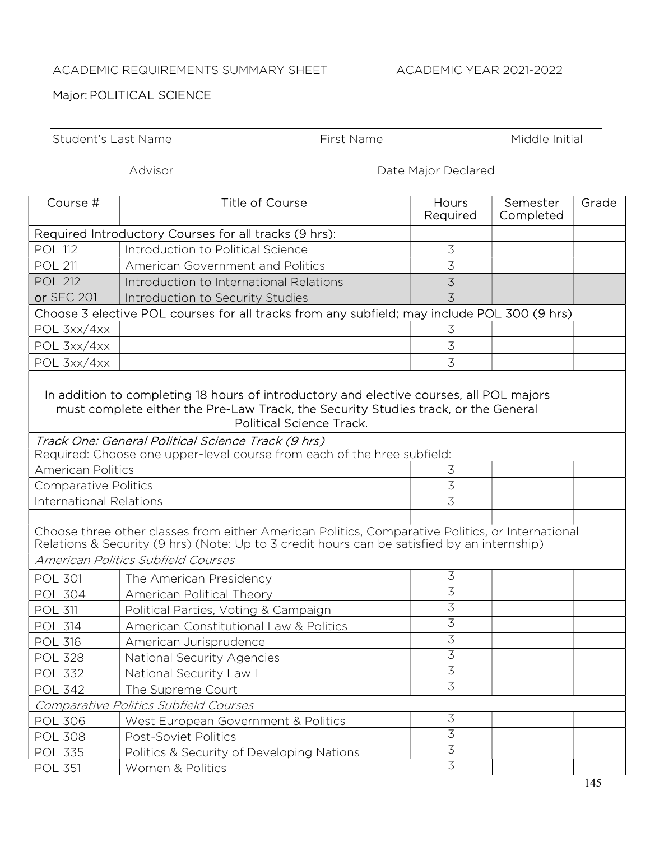## ACADEMIC REQUIREMENTS SUMMARY SHEET ACADEMIC YEAR 2021-2022

## Major: POLITICAL SCIENCE

| Student's Last Name                                                                                                                                                                                              |                                                       | First Name |                                  | Middle Initial        |       |  |  |
|------------------------------------------------------------------------------------------------------------------------------------------------------------------------------------------------------------------|-------------------------------------------------------|------------|----------------------------------|-----------------------|-------|--|--|
| Advisor<br>Date Major Declared                                                                                                                                                                                   |                                                       |            |                                  |                       |       |  |  |
| Course #                                                                                                                                                                                                         | <b>Title of Course</b>                                |            | <b>Hours</b><br>Required         | Semester<br>Completed | Grade |  |  |
|                                                                                                                                                                                                                  | Required Introductory Courses for all tracks (9 hrs): |            |                                  |                       |       |  |  |
| <b>POL 112</b>                                                                                                                                                                                                   | Introduction to Political Science                     |            | $\overline{3}$                   |                       |       |  |  |
| <b>POL 211</b>                                                                                                                                                                                                   | American Government and Politics                      |            | 3                                |                       |       |  |  |
| <b>POL 212</b>                                                                                                                                                                                                   | Introduction to International Relations               |            | $\mathcal{Z}$                    |                       |       |  |  |
| or SEC 201                                                                                                                                                                                                       | Introduction to Security Studies                      |            | $\overline{3}$                   |                       |       |  |  |
| Choose 3 elective POL courses for all tracks from any subfield; may include POL 300 (9 hrs)                                                                                                                      |                                                       |            |                                  |                       |       |  |  |
| POL 3xx/4xx                                                                                                                                                                                                      |                                                       |            | 3                                |                       |       |  |  |
| POL 3xx/4xx                                                                                                                                                                                                      |                                                       |            | $\mathfrak{Z}$                   |                       |       |  |  |
| POL 3xx/4xx                                                                                                                                                                                                      |                                                       |            | 3                                |                       |       |  |  |
|                                                                                                                                                                                                                  |                                                       |            |                                  |                       |       |  |  |
| In addition to completing 18 hours of introductory and elective courses, all POL majors<br>must complete either the Pre-Law Track, the Security Studies track, or the General<br><b>Political Science Track.</b> |                                                       |            |                                  |                       |       |  |  |
|                                                                                                                                                                                                                  | Track One: General Political Science Track (9 hrs)    |            |                                  |                       |       |  |  |
| Required: Choose one upper-level course from each of the hree subfield:                                                                                                                                          |                                                       |            |                                  |                       |       |  |  |
| <b>American Politics</b>                                                                                                                                                                                         |                                                       |            | $\overline{3}$<br>$\overline{3}$ |                       |       |  |  |
| <b>Comparative Politics</b><br><b>International Relations</b>                                                                                                                                                    |                                                       |            | 3                                |                       |       |  |  |
|                                                                                                                                                                                                                  |                                                       |            |                                  |                       |       |  |  |
| Choose three other classes from either American Politics, Comparative Politics, or International<br>Relations & Security (9 hrs) (Note: Up to 3 credit hours can be satisfied by an internship)                  |                                                       |            |                                  |                       |       |  |  |
|                                                                                                                                                                                                                  | American Politics Subfield Courses                    |            |                                  |                       |       |  |  |
| <b>POL 301</b>                                                                                                                                                                                                   | The American Presidency                               |            | $\overline{3}$                   |                       |       |  |  |
| POL 304                                                                                                                                                                                                          | American Political Theory                             |            | $\overline{3}$                   |                       |       |  |  |
| <b>POL 311</b>                                                                                                                                                                                                   | Political Parties, Voting & Campaign                  |            | $\overline{3}$                   |                       |       |  |  |
| <b>POL 314</b>                                                                                                                                                                                                   | American Constitutional Law & Politics                |            | $\overline{3}$                   |                       |       |  |  |
| <b>POL 316</b>                                                                                                                                                                                                   | American Jurisprudence                                |            | $\overline{3}$                   |                       |       |  |  |
| <b>POL 328</b>                                                                                                                                                                                                   | National Security Agencies                            |            | $\overline{3}$                   |                       |       |  |  |
| <b>POL 332</b>                                                                                                                                                                                                   | National Security Law I                               |            | $\overline{3}$                   |                       |       |  |  |
| <b>POL 342</b>                                                                                                                                                                                                   | The Supreme Court                                     |            | $\overline{3}$                   |                       |       |  |  |
| Comparative Politics Subfield Courses                                                                                                                                                                            |                                                       |            |                                  |                       |       |  |  |
| <b>POL 306</b>                                                                                                                                                                                                   | West European Government & Politics                   |            | $\mathfrak{Z}$                   |                       |       |  |  |
| <b>POL 308</b>                                                                                                                                                                                                   | Post-Soviet Politics                                  |            | $\overline{3}$                   |                       |       |  |  |
| <b>POL 335</b>                                                                                                                                                                                                   | Politics & Security of Developing Nations             |            | $\overline{3}$                   |                       |       |  |  |
| <b>POL 351</b>                                                                                                                                                                                                   | Women & Politics                                      |            | $\overline{3}$                   |                       |       |  |  |